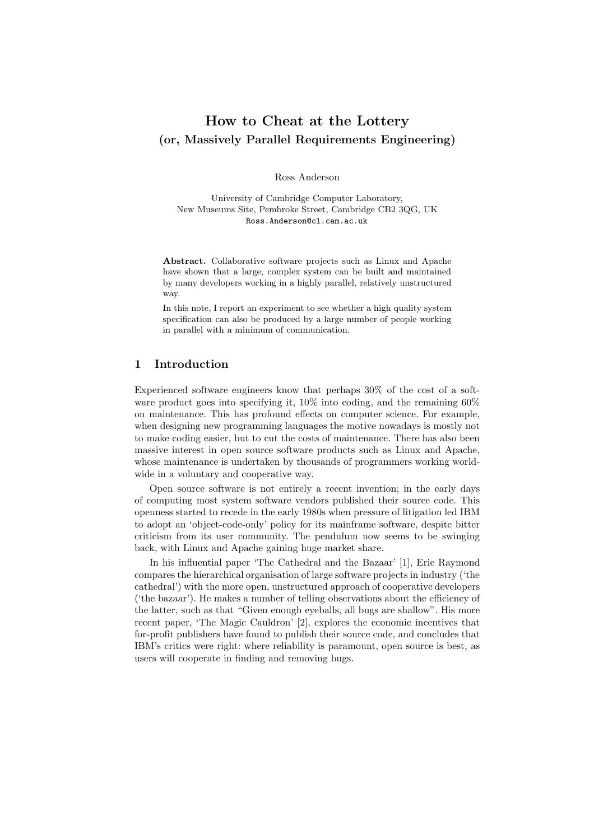# **How to Cheat at the Lottery (or, Massively Parallel Requirements Engineering)**

Ross Anderson

University of Cambridge Computer Laboratory, New Museums Site, Pembroke Street, Cambridge CB2 3QG, UK Ross.Anderson@cl.cam.ac.uk

**Abstract.** Collaborative software projects such as Linux and Apache have shown that a large, complex system can be built and maintained by many developers working in a highly parallel, relatively unstructured way.

In this note, I report an experiment to see whether a high quality system specification can also be produced by a large number of people working in parallel with a minimum of communication.

# **1 Introduction**

Experienced software engineers know that perhaps 30% of the cost of a software product goes into specifying it, 10% into coding, and the remaining 60% on maintenance. This has profound effects on computer science. For example, when designing new programming languages the motive nowadays is mostly not to make coding easier, but to cut the costs of maintenance. There has also been massive interest in open source software products such as Linux and Apache, whose maintenance is undertaken by thousands of programmers working worldwide in a voluntary and cooperative way.

Open source software is not entirely a recent invention; in the early days of computing most system software vendors published their source code. This openness started to recede in the early 1980s when pressure of litigation led IBM to adopt an 'object-code-only' policy for its mainframe software, despite bitter criticism from its user community. The pendulum now seems to be swinging back, with Linux and Apache gaining huge market share.

In his influential paper 'The Cathedral and the Bazaar' [1], Eric Raymond compares the hierarchical organisation of large software projects in industry ('the cathedral') with the more open, unstructured approach of cooperative developers ('the bazaar'). He makes a number of telling observations about the efficiency of the latter, such as that "Given enough eyeballs, all bugs are shallow". His more recent paper, 'The Magic Cauldron' [2], explores the economic incentives that for-profit publishers have found to publish their source code, and concludes that IBM's critics were right: where reliability is paramount, open source is best, as users will cooperate in finding and removing bugs.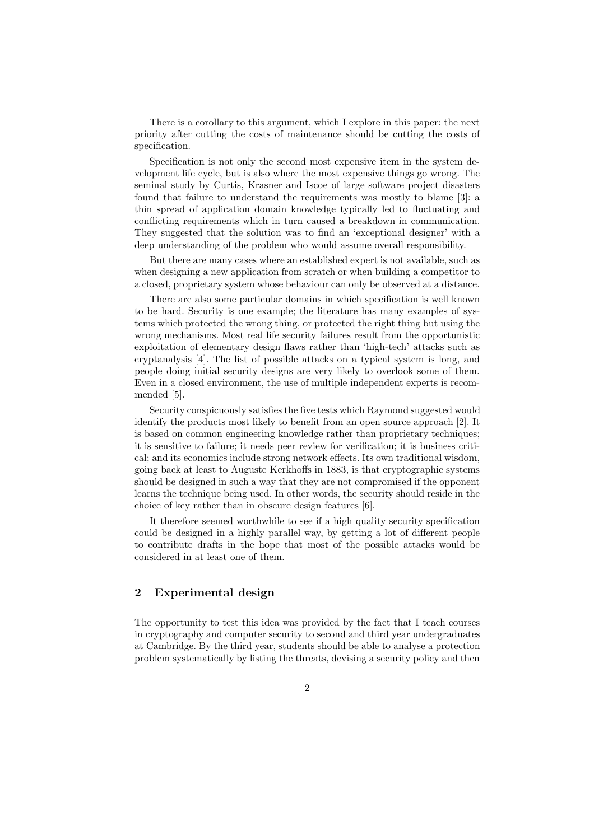There is a corollary to this argument, which I explore in this paper: the next priority after cutting the costs of maintenance should be cutting the costs of specification.

Specification is not only the second most expensive item in the system development life cycle, but is also where the most expensive things go wrong. The seminal study by Curtis, Krasner and Iscoe of large software project disasters found that failure to understand the requirements was mostly to blame [3]: a thin spread of application domain knowledge typically led to fluctuating and conflicting requirements which in turn caused a breakdown in communication. They suggested that the solution was to find an 'exceptional designer' with a deep understanding of the problem who would assume overall responsibility.

But there are many cases where an established expert is not available, such as when designing a new application from scratch or when building a competitor to a closed, proprietary system whose behaviour can only be observed at a distance.

There are also some particular domains in which specification is well known to be hard. Security is one example; the literature has many examples of systems which protected the wrong thing, or protected the right thing but using the wrong mechanisms. Most real life security failures result from the opportunistic exploitation of elementary design flaws rather than 'high-tech' attacks such as cryptanalysis [4]. The list of possible attacks on a typical system is long, and people doing initial security designs are very likely to overlook some of them. Even in a closed environment, the use of multiple independent experts is recommended [5].

Security conspicuously satisfies the five tests which Raymond suggested would identify the products most likely to benefit from an open source approach [2]. It is based on common engineering knowledge rather than proprietary techniques; it is sensitive to failure; it needs peer review for verification; it is business critical; and its economics include strong network effects. Its own traditional wisdom, going back at least to Auguste Kerkhoffs in 1883, is that cryptographic systems should be designed in such a way that they are not compromised if the opponent learns the technique being used. In other words, the security should reside in the choice of key rather than in obscure design features [6].

It therefore seemed worthwhile to see if a high quality security specification could be designed in a highly parallel way, by getting a lot of different people to contribute drafts in the hope that most of the possible attacks would be considered in at least one of them.

# **2 Experimental design**

The opportunity to test this idea was provided by the fact that I teach courses in cryptography and computer security to second and third year undergraduates at Cambridge. By the third year, students should be able to analyse a protection problem systematically by listing the threats, devising a security policy and then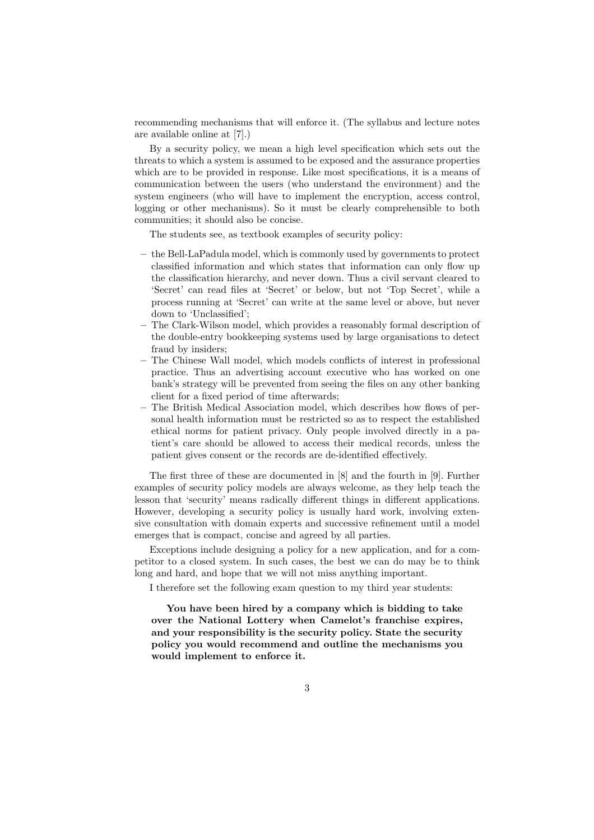recommending mechanisms that will enforce it. (The syllabus and lecture notes are available online at [7].)

By a security policy, we mean a high level specification which sets out the threats to which a system is assumed to be exposed and the assurance properties which are to be provided in response. Like most specifications, it is a means of communication between the users (who understand the environment) and the system engineers (who will have to implement the encryption, access control, logging or other mechanisms). So it must be clearly comprehensible to both communities; it should also be concise.

The students see, as textbook examples of security policy:

- **–** the Bell-LaPadula model, which is commonly used by governments to protect classified information and which states that information can only flow up the classification hierarchy, and never down. Thus a civil servant cleared to 'Secret' can read files at 'Secret' or below, but not 'Top Secret', while a process running at 'Secret' can write at the same level or above, but never down to 'Unclassified';
- **–** The Clark-Wilson model, which provides a reasonably formal description of the double-entry bookkeeping systems used by large organisations to detect fraud by insiders;
- **–** The Chinese Wall model, which models conflicts of interest in professional practice. Thus an advertising account executive who has worked on one bank's strategy will be prevented from seeing the files on any other banking client for a fixed period of time afterwards;
- **–** The British Medical Association model, which describes how flows of personal health information must be restricted so as to respect the established ethical norms for patient privacy. Only people involved directly in a patient's care should be allowed to access their medical records, unless the patient gives consent or the records are de-identified effectively.

The first three of these are documented in [8] and the fourth in [9]. Further examples of security policy models are always welcome, as they help teach the lesson that 'security' means radically different things in different applications. However, developing a security policy is usually hard work, involving extensive consultation with domain experts and successive refinement until a model emerges that is compact, concise and agreed by all parties.

Exceptions include designing a policy for a new application, and for a competitor to a closed system. In such cases, the best we can do may be to think long and hard, and hope that we will not miss anything important.

I therefore set the following exam question to my third year students:

**You have been hired by a company which is bidding to take over the National Lottery when Camelot's franchise expires, and your responsibility is the security policy. State the security policy you would recommend and outline the mechanisms you would implement to enforce it.**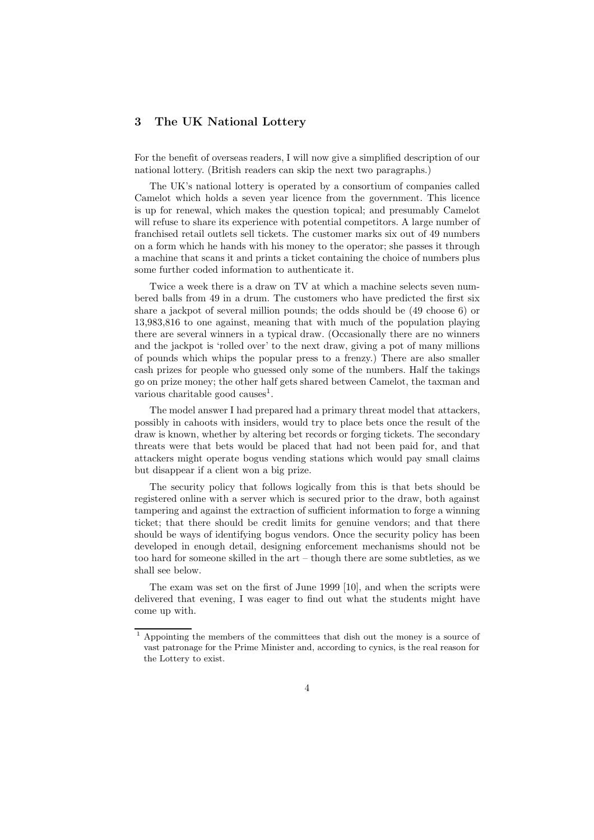# **3 The UK National Lottery**

For the benefit of overseas readers, I will now give a simplified description of our national lottery. (British readers can skip the next two paragraphs.)

The UK's national lottery is operated by a consortium of companies called Camelot which holds a seven year licence from the government. This licence is up for renewal, which makes the question topical; and presumably Camelot will refuse to share its experience with potential competitors. A large number of franchised retail outlets sell tickets. The customer marks six out of 49 numbers on a form which he hands with his money to the operator; she passes it through a machine that scans it and prints a ticket containing the choice of numbers plus some further coded information to authenticate it.

Twice a week there is a draw on TV at which a machine selects seven numbered balls from 49 in a drum. The customers who have predicted the first six share a jackpot of several million pounds; the odds should be (49 choose 6) or 13,983,816 to one against, meaning that with much of the population playing there are several winners in a typical draw. (Occasionally there are no winners and the jackpot is 'rolled over' to the next draw, giving a pot of many millions of pounds which whips the popular press to a frenzy.) There are also smaller cash prizes for people who guessed only some of the numbers. Half the takings go on prize money; the other half gets shared between Camelot, the taxman and various charitable good causes<sup>1</sup>.

The model answer I had prepared had a primary threat model that attackers, possibly in cahoots with insiders, would try to place bets once the result of the draw is known, whether by altering bet records or forging tickets. The secondary threats were that bets would be placed that had not been paid for, and that attackers might operate bogus vending stations which would pay small claims but disappear if a client won a big prize.

The security policy that follows logically from this is that bets should be registered online with a server which is secured prior to the draw, both against tampering and against the extraction of sufficient information to forge a winning ticket; that there should be credit limits for genuine vendors; and that there should be ways of identifying bogus vendors. Once the security policy has been developed in enough detail, designing enforcement mechanisms should not be too hard for someone skilled in the art – though there are some subtleties, as we shall see below.

The exam was set on the first of June 1999 [10], and when the scripts were delivered that evening, I was eager to find out what the students might have come up with.

<sup>1</sup> Appointing the members of the committees that dish out the money is a source of vast patronage for the Prime Minister and, according to cynics, is the real reason for the Lottery to exist.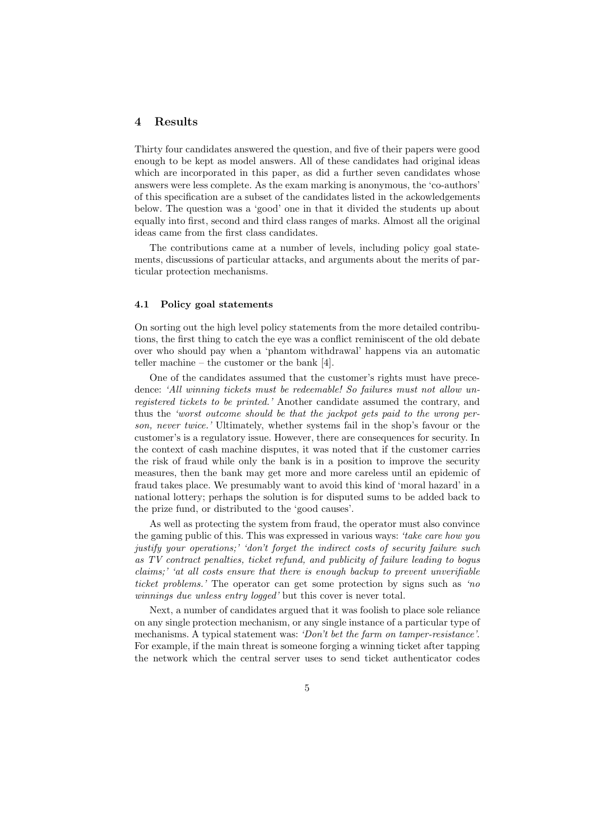# **4 Results**

Thirty four candidates answered the question, and five of their papers were good enough to be kept as model answers. All of these candidates had original ideas which are incorporated in this paper, as did a further seven candidates whose answers were less complete. As the exam marking is anonymous, the 'co-authors' of this specification are a subset of the candidates listed in the ackowledgements below. The question was a 'good' one in that it divided the students up about equally into first, second and third class ranges of marks. Almost all the original ideas came from the first class candidates.

The contributions came at a number of levels, including policy goal statements, discussions of particular attacks, and arguments about the merits of particular protection mechanisms.

#### **4.1 Policy goal statements**

On sorting out the high level policy statements from the more detailed contributions, the first thing to catch the eye was a conflict reminiscent of the old debate over who should pay when a 'phantom withdrawal' happens via an automatic teller machine – the customer or the bank [4].

One of the candidates assumed that the customer's rights must have precedence: *'All winning tickets must be redeemable! So failures must not allow unregistered tickets to be printed.'* Another candidate assumed the contrary, and thus the *'worst outcome should be that the jackpot gets paid to the wrong person, never twice.'* Ultimately, whether systems fail in the shop's favour or the customer's is a regulatory issue. However, there are consequences for security. In the context of cash machine disputes, it was noted that if the customer carries the risk of fraud while only the bank is in a position to improve the security measures, then the bank may get more and more careless until an epidemic of fraud takes place. We presumably want to avoid this kind of 'moral hazard' in a national lottery; perhaps the solution is for disputed sums to be added back to the prize fund, or distributed to the 'good causes'.

As well as protecting the system from fraud, the operator must also convince the gaming public of this. This was expressed in various ways: *'take care how you justify your operations;' 'don't forget the indirect costs of security failure such as TV contract penalties, ticket refund, and publicity of failure leading to bogus claims;' 'at all costs ensure that there is enough backup to prevent unverifiable ticket problems.'* The operator can get some protection by signs such as *'no winnings due unless entry logged'* but this cover is never total.

Next, a number of candidates argued that it was foolish to place sole reliance on any single protection mechanism, or any single instance of a particular type of mechanisms. A typical statement was: *'Don't bet the farm on tamper-resistance'*. For example, if the main threat is someone forging a winning ticket after tapping the network which the central server uses to send ticket authenticator codes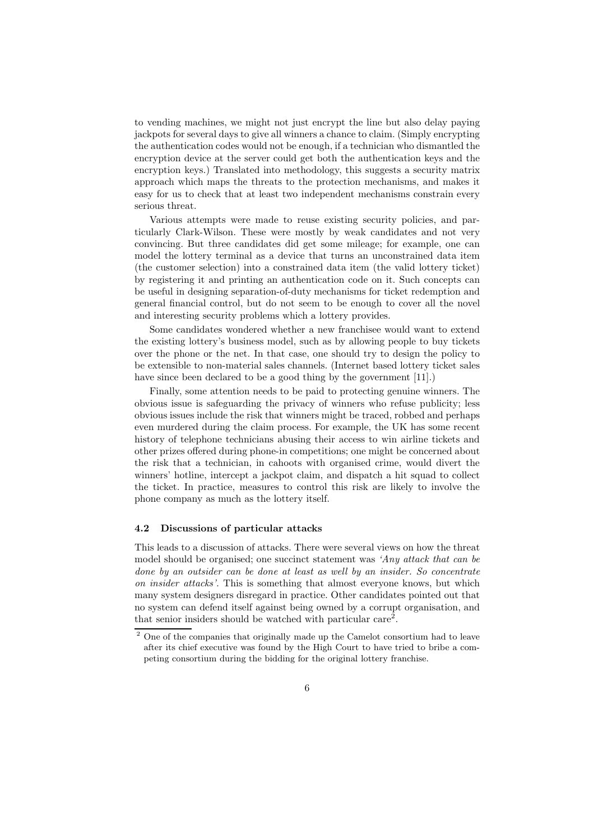to vending machines, we might not just encrypt the line but also delay paying jackpots for several days to give all winners a chance to claim. (Simply encrypting the authentication codes would not be enough, if a technician who dismantled the encryption device at the server could get both the authentication keys and the encryption keys.) Translated into methodology, this suggests a security matrix approach which maps the threats to the protection mechanisms, and makes it easy for us to check that at least two independent mechanisms constrain every serious threat.

Various attempts were made to reuse existing security policies, and particularly Clark-Wilson. These were mostly by weak candidates and not very convincing. But three candidates did get some mileage; for example, one can model the lottery terminal as a device that turns an unconstrained data item (the customer selection) into a constrained data item (the valid lottery ticket) by registering it and printing an authentication code on it. Such concepts can be useful in designing separation-of-duty mechanisms for ticket redemption and general financial control, but do not seem to be enough to cover all the novel and interesting security problems which a lottery provides.

Some candidates wondered whether a new franchisee would want to extend the existing lottery's business model, such as by allowing people to buy tickets over the phone or the net. In that case, one should try to design the policy to be extensible to non-material sales channels. (Internet based lottery ticket sales have since been declared to be a good thing by the government [11].)

Finally, some attention needs to be paid to protecting genuine winners. The obvious issue is safeguarding the privacy of winners who refuse publicity; less obvious issues include the risk that winners might be traced, robbed and perhaps even murdered during the claim process. For example, the UK has some recent history of telephone technicians abusing their access to win airline tickets and other prizes offered during phone-in competitions; one might be concerned about the risk that a technician, in cahoots with organised crime, would divert the winners' hotline, intercept a jackpot claim, and dispatch a hit squad to collect the ticket. In practice, measures to control this risk are likely to involve the phone company as much as the lottery itself.

#### **4.2 Discussions of particular attacks**

This leads to a discussion of attacks. There were several views on how the threat model should be organised; one succinct statement was *'Any attack that can be done by an outsider can be done at least as well by an insider. So concentrate on insider attacks'.* This is something that almost everyone knows, but which many system designers disregard in practice. Other candidates pointed out that no system can defend itself against being owned by a corrupt organisation, and that senior insiders should be watched with particular care<sup>2</sup>.

<sup>&</sup>lt;sup>2</sup> One of the companies that originally made up the Camelot consortium had to leave after its chief executive was found by the High Court to have tried to bribe a competing consortium during the bidding for the original lottery franchise.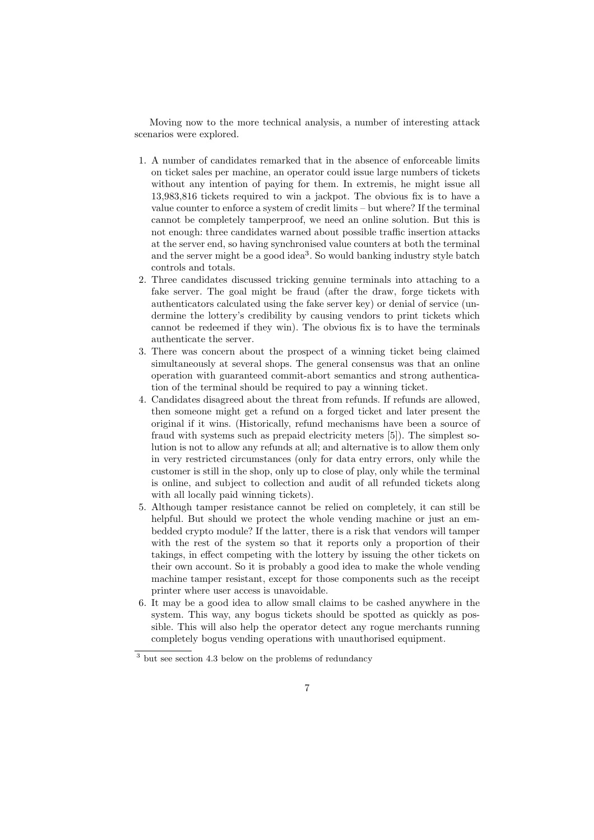Moving now to the more technical analysis, a number of interesting attack scenarios were explored.

- 1. A number of candidates remarked that in the absence of enforceable limits on ticket sales per machine, an operator could issue large numbers of tickets without any intention of paying for them. In extremis, he might issue all 13,983,816 tickets required to win a jackpot. The obvious fix is to have a value counter to enforce a system of credit limits – but where? If the terminal cannot be completely tamperproof, we need an online solution. But this is not enough: three candidates warned about possible traffic insertion attacks at the server end, so having synchronised value counters at both the terminal and the server might be a good idea<sup>3</sup>. So would banking industry style batch controls and totals.
- 2. Three candidates discussed tricking genuine terminals into attaching to a fake server. The goal might be fraud (after the draw, forge tickets with authenticators calculated using the fake server key) or denial of service (undermine the lottery's credibility by causing vendors to print tickets which cannot be redeemed if they win). The obvious fix is to have the terminals authenticate the server.
- 3. There was concern about the prospect of a winning ticket being claimed simultaneously at several shops. The general consensus was that an online operation with guaranteed commit-abort semantics and strong authentication of the terminal should be required to pay a winning ticket.
- 4. Candidates disagreed about the threat from refunds. If refunds are allowed, then someone might get a refund on a forged ticket and later present the original if it wins. (Historically, refund mechanisms have been a source of fraud with systems such as prepaid electricity meters [5]). The simplest solution is not to allow any refunds at all; and alternative is to allow them only in very restricted circumstances (only for data entry errors, only while the customer is still in the shop, only up to close of play, only while the terminal is online, and subject to collection and audit of all refunded tickets along with all locally paid winning tickets).
- 5. Although tamper resistance cannot be relied on completely, it can still be helpful. But should we protect the whole vending machine or just an embedded crypto module? If the latter, there is a risk that vendors will tamper with the rest of the system so that it reports only a proportion of their takings, in effect competing with the lottery by issuing the other tickets on their own account. So it is probably a good idea to make the whole vending machine tamper resistant, except for those components such as the receipt printer where user access is unavoidable.
- 6. It may be a good idea to allow small claims to be cashed anywhere in the system. This way, any bogus tickets should be spotted as quickly as possible. This will also help the operator detect any rogue merchants running completely bogus vending operations with unauthorised equipment.

<sup>3</sup> but see section 4.3 below on the problems of redundancy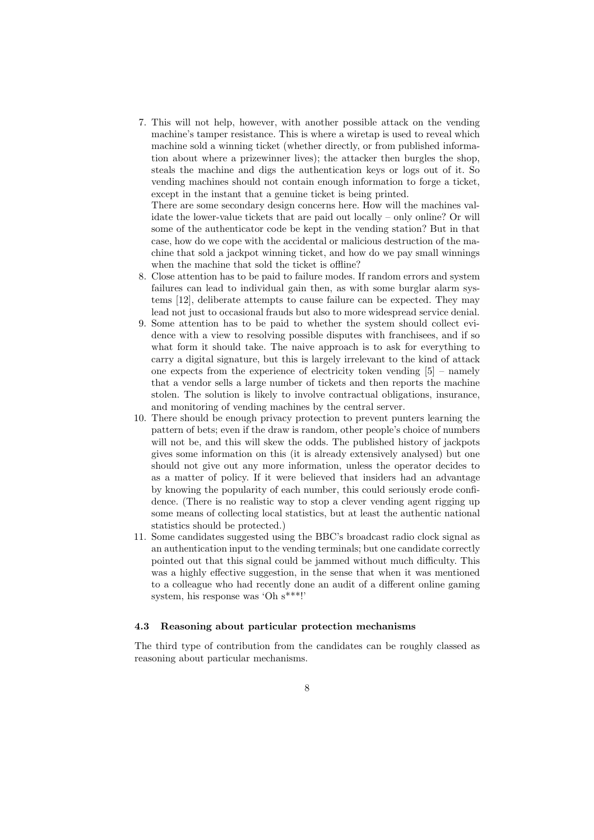7. This will not help, however, with another possible attack on the vending machine's tamper resistance. This is where a wiretap is used to reveal which machine sold a winning ticket (whether directly, or from published information about where a prizewinner lives); the attacker then burgles the shop, steals the machine and digs the authentication keys or logs out of it. So vending machines should not contain enough information to forge a ticket, except in the instant that a genuine ticket is being printed.

There are some secondary design concerns here. How will the machines validate the lower-value tickets that are paid out locally – only online? Or will some of the authenticator code be kept in the vending station? But in that case, how do we cope with the accidental or malicious destruction of the machine that sold a jackpot winning ticket, and how do we pay small winnings when the machine that sold the ticket is offline?

- 8. Close attention has to be paid to failure modes. If random errors and system failures can lead to individual gain then, as with some burglar alarm systems [12], deliberate attempts to cause failure can be expected. They may lead not just to occasional frauds but also to more widespread service denial.
- 9. Some attention has to be paid to whether the system should collect evidence with a view to resolving possible disputes with franchisees, and if so what form it should take. The naive approach is to ask for everything to carry a digital signature, but this is largely irrelevant to the kind of attack one expects from the experience of electricity token vending  $[5]$  – namely that a vendor sells a large number of tickets and then reports the machine stolen. The solution is likely to involve contractual obligations, insurance, and monitoring of vending machines by the central server.
- 10. There should be enough privacy protection to prevent punters learning the pattern of bets; even if the draw is random, other people's choice of numbers will not be, and this will skew the odds. The published history of jackpots gives some information on this (it is already extensively analysed) but one should not give out any more information, unless the operator decides to as a matter of policy. If it were believed that insiders had an advantage by knowing the popularity of each number, this could seriously erode confidence. (There is no realistic way to stop a clever vending agent rigging up some means of collecting local statistics, but at least the authentic national statistics should be protected.)
- 11. Some candidates suggested using the BBC's broadcast radio clock signal as an authentication input to the vending terminals; but one candidate correctly pointed out that this signal could be jammed without much difficulty. This was a highly effective suggestion, in the sense that when it was mentioned to a colleague who had recently done an audit of a different online gaming system, his response was 'Oh s\*\*\*!'

## **4.3 Reasoning about particular protection mechanisms**

The third type of contribution from the candidates can be roughly classed as reasoning about particular mechanisms.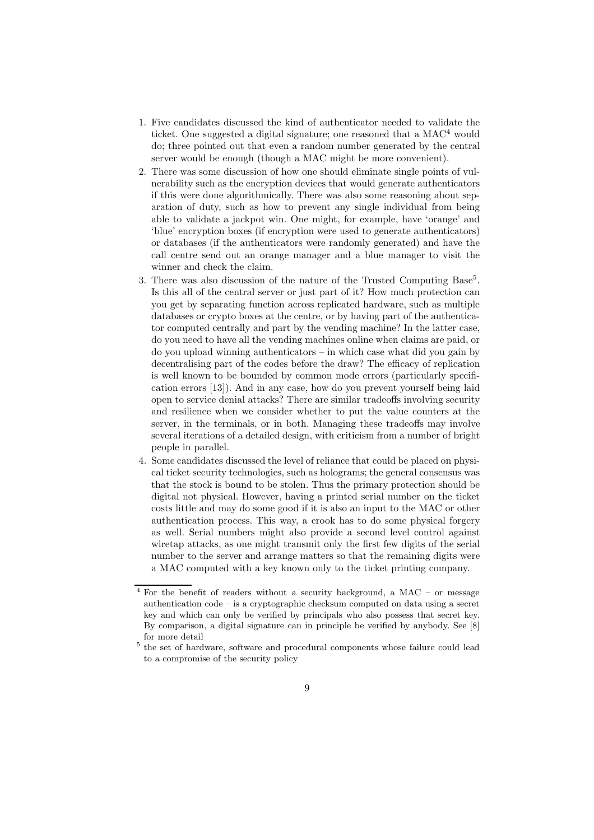- 1. Five candidates discussed the kind of authenticator needed to validate the ticket. One suggested a digital signature; one reasoned that a  $MAC<sup>4</sup>$  would do; three pointed out that even a random number generated by the central server would be enough (though a MAC might be more convenient).
- 2. There was some discussion of how one should eliminate single points of vulnerability such as the encryption devices that would generate authenticators if this were done algorithmically. There was also some reasoning about separation of duty, such as how to prevent any single individual from being able to validate a jackpot win. One might, for example, have 'orange' and 'blue' encryption boxes (if encryption were used to generate authenticators) or databases (if the authenticators were randomly generated) and have the call centre send out an orange manager and a blue manager to visit the winner and check the claim.
- 3. There was also discussion of the nature of the Trusted Computing Base<sup>5</sup>. Is this all of the central server or just part of it? How much protection can you get by separating function across replicated hardware, such as multiple databases or crypto boxes at the centre, or by having part of the authenticator computed centrally and part by the vending machine? In the latter case, do you need to have all the vending machines online when claims are paid, or do you upload winning authenticators – in which case what did you gain by decentralising part of the codes before the draw? The efficacy of replication is well known to be bounded by common mode errors (particularly specification errors [13]). And in any case, how do you prevent yourself being laid open to service denial attacks? There are similar tradeoffs involving security and resilience when we consider whether to put the value counters at the server, in the terminals, or in both. Managing these tradeoffs may involve several iterations of a detailed design, with criticism from a number of bright people in parallel.
- 4. Some candidates discussed the level of reliance that could be placed on physical ticket security technologies, such as holograms; the general consensus was that the stock is bound to be stolen. Thus the primary protection should be digital not physical. However, having a printed serial number on the ticket costs little and may do some good if it is also an input to the MAC or other authentication process. This way, a crook has to do some physical forgery as well. Serial numbers might also provide a second level control against wiretap attacks, as one might transmit only the first few digits of the serial number to the server and arrange matters so that the remaining digits were a MAC computed with a key known only to the ticket printing company.

 $4$  For the benefit of readers without a security background, a MAC – or message authentication code – is a cryptographic checksum computed on data using a secret key and which can only be verified by principals who also possess that secret key. By comparison, a digital signature can in principle be verified by anybody. See [8] for more detail

<sup>5</sup> the set of hardware, software and procedural components whose failure could lead to a compromise of the security policy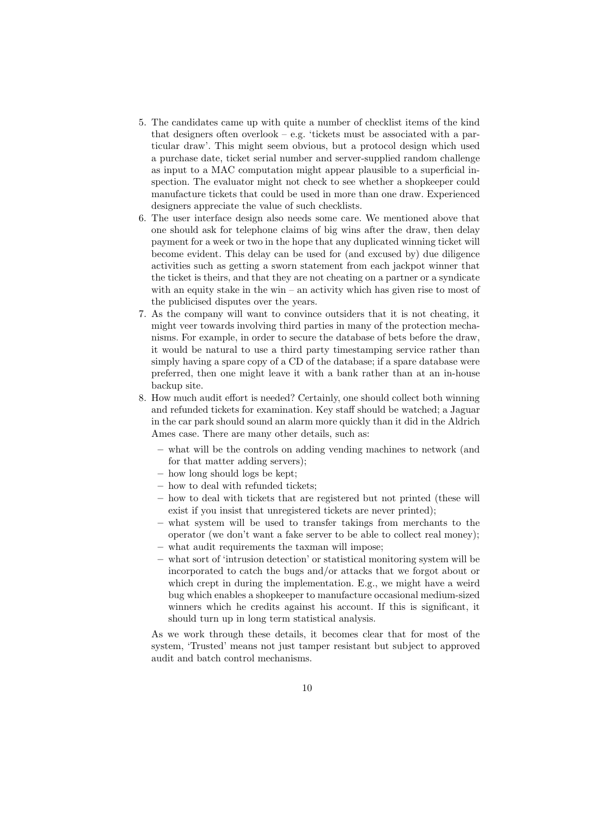- 5. The candidates came up with quite a number of checklist items of the kind that designers often overlook – e.g. 'tickets must be associated with a particular draw'. This might seem obvious, but a protocol design which used a purchase date, ticket serial number and server-supplied random challenge as input to a MAC computation might appear plausible to a superficial inspection. The evaluator might not check to see whether a shopkeeper could manufacture tickets that could be used in more than one draw. Experienced designers appreciate the value of such checklists.
- 6. The user interface design also needs some care. We mentioned above that one should ask for telephone claims of big wins after the draw, then delay payment for a week or two in the hope that any duplicated winning ticket will become evident. This delay can be used for (and excused by) due diligence activities such as getting a sworn statement from each jackpot winner that the ticket is theirs, and that they are not cheating on a partner or a syndicate with an equity stake in the win – an activity which has given rise to most of the publicised disputes over the years.
- 7. As the company will want to convince outsiders that it is not cheating, it might veer towards involving third parties in many of the protection mechanisms. For example, in order to secure the database of bets before the draw, it would be natural to use a third party timestamping service rather than simply having a spare copy of a CD of the database; if a spare database were preferred, then one might leave it with a bank rather than at an in-house backup site.
- 8. How much audit effort is needed? Certainly, one should collect both winning and refunded tickets for examination. Key staff should be watched; a Jaguar in the car park should sound an alarm more quickly than it did in the Aldrich Ames case. There are many other details, such as:
	- **–** what will be the controls on adding vending machines to network (and for that matter adding servers);
	- **–** how long should logs be kept;
	- **–** how to deal with refunded tickets;
	- **–** how to deal with tickets that are registered but not printed (these will exist if you insist that unregistered tickets are never printed);
	- **–** what system will be used to transfer takings from merchants to the operator (we don't want a fake server to be able to collect real money); **–** what audit requirements the taxman will impose;
	- **–** what sort of 'intrusion detection' or statistical monitoring system will be incorporated to catch the bugs and/or attacks that we forgot about or which crept in during the implementation. E.g., we might have a weird bug which enables a shopkeeper to manufacture occasional medium-sized winners which he credits against his account. If this is significant, it should turn up in long term statistical analysis.

As we work through these details, it becomes clear that for most of the system, 'Trusted' means not just tamper resistant but subject to approved audit and batch control mechanisms.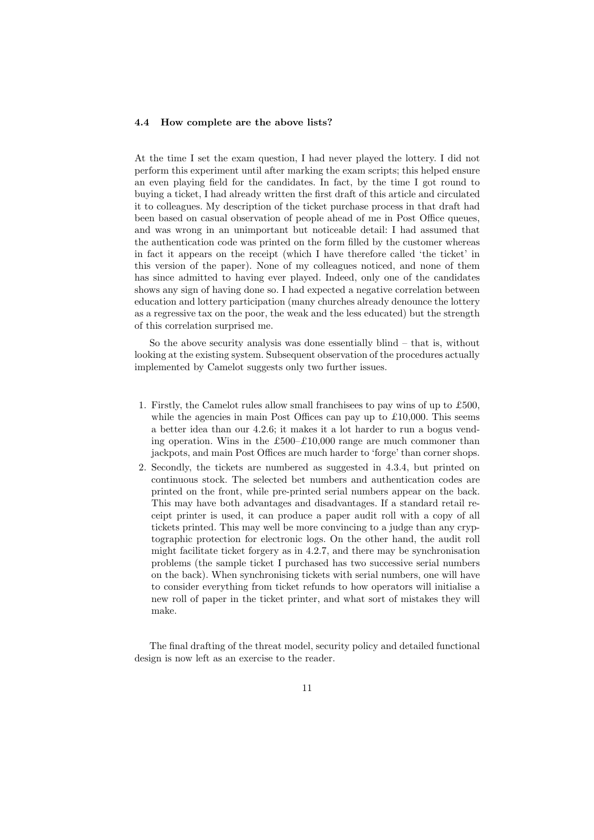#### **4.4 How complete are the above lists?**

At the time I set the exam question, I had never played the lottery. I did not perform this experiment until after marking the exam scripts; this helped ensure an even playing field for the candidates. In fact, by the time I got round to buying a ticket, I had already written the first draft of this article and circulated it to colleagues. My description of the ticket purchase process in that draft had been based on casual observation of people ahead of me in Post Office queues, and was wrong in an unimportant but noticeable detail: I had assumed that the authentication code was printed on the form filled by the customer whereas in fact it appears on the receipt (which I have therefore called 'the ticket' in this version of the paper). None of my colleagues noticed, and none of them has since admitted to having ever played. Indeed, only one of the candidates shows any sign of having done so. I had expected a negative correlation between education and lottery participation (many churches already denounce the lottery as a regressive tax on the poor, the weak and the less educated) but the strength of this correlation surprised me.

So the above security analysis was done essentially blind – that is, without looking at the existing system. Subsequent observation of the procedures actually implemented by Camelot suggests only two further issues.

- 1. Firstly, the Camelot rules allow small franchisees to pay wins of up to £500, while the agencies in main Post Offices can pay up to  $\pounds 10,000$ . This seems a better idea than our 4.2.6; it makes it a lot harder to run a bogus vending operation. Wins in the £500–£10,000 range are much commoner than jackpots, and main Post Offices are much harder to 'forge' than corner shops.
- 2. Secondly, the tickets are numbered as suggested in 4.3.4, but printed on continuous stock. The selected bet numbers and authentication codes are printed on the front, while pre-printed serial numbers appear on the back. This may have both advantages and disadvantages. If a standard retail receipt printer is used, it can produce a paper audit roll with a copy of all tickets printed. This may well be more convincing to a judge than any cryptographic protection for electronic logs. On the other hand, the audit roll might facilitate ticket forgery as in 4.2.7, and there may be synchronisation problems (the sample ticket I purchased has two successive serial numbers on the back). When synchronising tickets with serial numbers, one will have to consider everything from ticket refunds to how operators will initialise a new roll of paper in the ticket printer, and what sort of mistakes they will make.

The final drafting of the threat model, security policy and detailed functional design is now left as an exercise to the reader.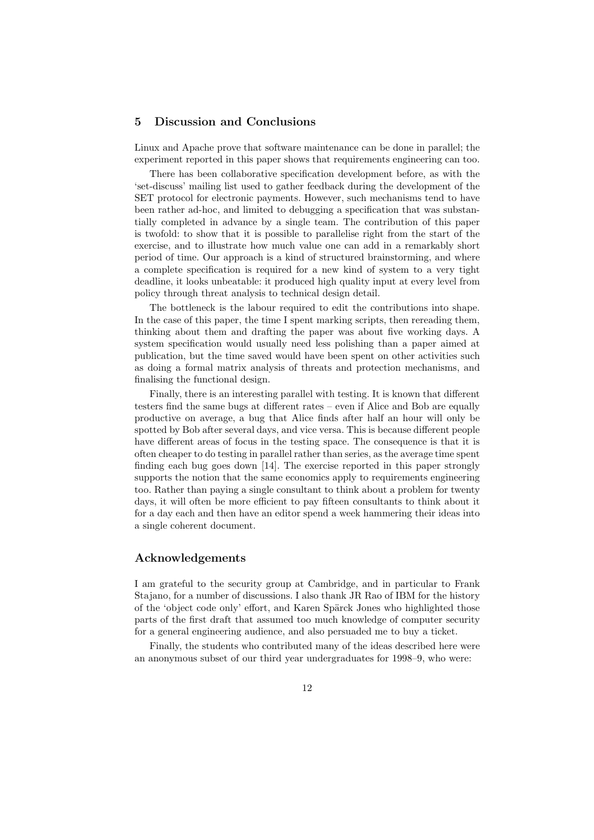## **5 Discussion and Conclusions**

Linux and Apache prove that software maintenance can be done in parallel; the experiment reported in this paper shows that requirements engineering can too.

There has been collaborative specification development before, as with the 'set-discuss' mailing list used to gather feedback during the development of the SET protocol for electronic payments. However, such mechanisms tend to have been rather ad-hoc, and limited to debugging a specification that was substantially completed in advance by a single team. The contribution of this paper is twofold: to show that it is possible to parallelise right from the start of the exercise, and to illustrate how much value one can add in a remarkably short period of time. Our approach is a kind of structured brainstorming, and where a complete specification is required for a new kind of system to a very tight deadline, it looks unbeatable: it produced high quality input at every level from policy through threat analysis to technical design detail.

The bottleneck is the labour required to edit the contributions into shape. In the case of this paper, the time I spent marking scripts, then rereading them, thinking about them and drafting the paper was about five working days. A system specification would usually need less polishing than a paper aimed at publication, but the time saved would have been spent on other activities such as doing a formal matrix analysis of threats and protection mechanisms, and finalising the functional design.

Finally, there is an interesting parallel with testing. It is known that different testers find the same bugs at different rates – even if Alice and Bob are equally productive on average, a bug that Alice finds after half an hour will only be spotted by Bob after several days, and vice versa. This is because different people have different areas of focus in the testing space. The consequence is that it is often cheaper to do testing in parallel rather than series, as the average time spent finding each bug goes down [14]. The exercise reported in this paper strongly supports the notion that the same economics apply to requirements engineering too. Rather than paying a single consultant to think about a problem for twenty days, it will often be more efficient to pay fifteen consultants to think about it for a day each and then have an editor spend a week hammering their ideas into a single coherent document.

## **Acknowledgements**

I am grateful to the security group at Cambridge, and in particular to Frank Stajano, for a number of discussions. I also thank JR Rao of IBM for the history of the 'object code only' effort, and Karen Sp¨arck Jones who highlighted those parts of the first draft that assumed too much knowledge of computer security for a general engineering audience, and also persuaded me to buy a ticket.

Finally, the students who contributed many of the ideas described here were an anonymous subset of our third year undergraduates for 1998–9, who were: